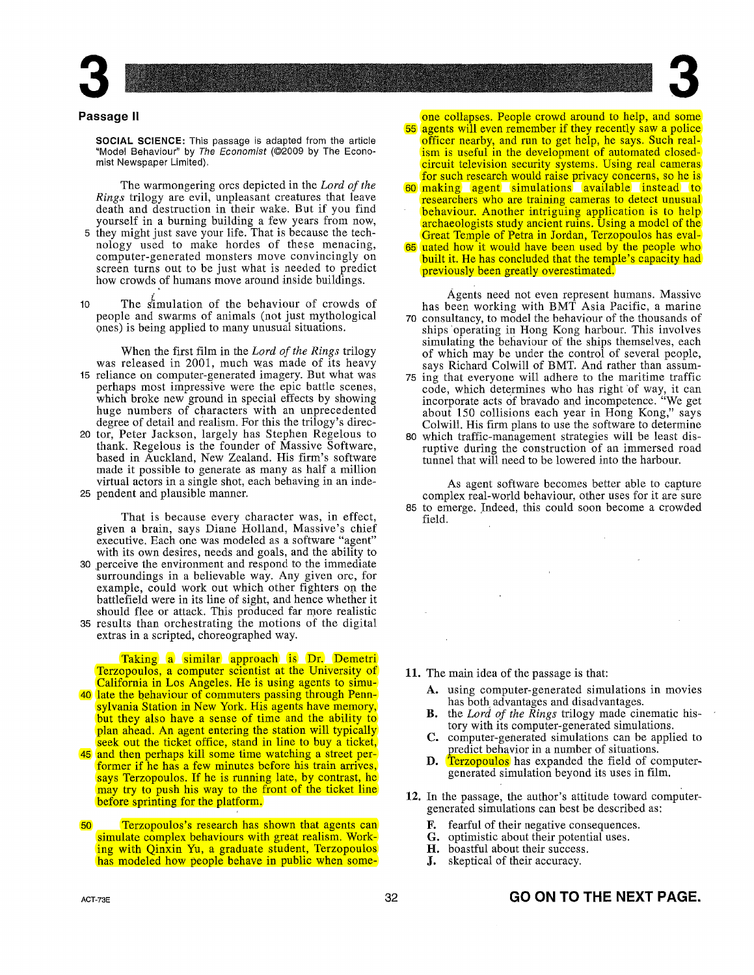

## **Passage II**

**SOCIAL SCIENCE:** This passage is adapted from the article "Model Behaviour" by The Economist (©2009 by The Economist Newspaper Limited).

The warmongering ores depicted in the *Lord of the Rings* trilogy are evil, unpleasant creatures that leave death and destruction in their wake. But if you find yourself in a burning building a few years from now,

- 5 they might just save your life. That is because the technology used to make hordes of these menacing, computer-generated monsters move convincingly on screen turns out to be just what is needed to predict how crowds of humans move around inside buildings.
- 10 The fimulation of the behaviour of crowds of people and swarms of animals (not just mythological ones) is being applied to many unusual situations.

When the first film in the *Lord of the Rings* trilogy was released in 2001, much was made of its heavy

- 15 reliance on computer-generated imagery. But what was perhaps most impressive were the epic battle scenes, which broke new ground in special effects by showing huge numbers of characters with an unprecedented degree of detail and realism. For this the trilogy's direc-
- 20 tor, Peter Jackson, largely has Stephen Regelous to thank. Regelous is the founder of Massive Software, based in Auckland, New Zealand. His firm's software made it possible to generate as many as half a million virtual actors in a single shot, each behaving in an inde-25 pendent and plausible manner.

That is because every character was, in effect, given a brain, says Diane Holland, Massive's chief executive. Each one was modeled as a software "agent" with its own desires, needs and goals, and the ability to

- 30 perceive the environment and respond to the immediate surroundings in a believable way. Any given ore, for example, could work out which other fighters op. the battlefield were in its line of sight, and hence whether it should flee or attack. This produced far more realistic
- 35 results than orchestrating the motions of the digital extras in a scripted, choreographed way.

Taking a similar approach is Dr. Demetri Terzopoulos, a computer scientist at the University of California in Los Angeles. He is using agents to simu-40 late the behaviour of commuters passing through Pennsylvania Station in New York. His agents have memory,

- but they also have a sense of time and the ability to plan ahead. An agent entering the station will typically seek out the ticket office, stand in line to buy a ticket,
- 45 and then perhaps kill some time watching a street performer if he has a few minutes before his train arrives, says Terzopoulos. If he is running late, by contrast, he may try to push his way to the front of the ticket line before sprinting for the platform.
- 50 Terzopoulos's research has shown that agents can simulate complex behaviours with great realism. Working with Qinxin Yu, a graduate student, Terzopoulos has modeled how people behave in public when some-

**3** one collapses. People crowd around to help, and some 55 agents will even remember if they recently saw a police officer nearby, and run to get help, he says. Such realism is useful in the development of automated closedcircuit television security systems. Using real cameras for such research would raise privacy concerns, so he is 60 making agent simulations available instead to researchers who are training cameras to detect unusual behaviour. Another intriguing application is to help archaeologists study ancient ruins. Using a model of the Great Temple of Petra in Jordan, Terzopoulos has eval-65 uated how it would have been used by the people who built it. He has concluded that the temple's capacity had

Agents need not even represent humans. Massive has been working with BMT Asia Pacific, a marine 70 consultancy, to model the behaviour of the thousands of ships 'operating in Hong Kong harbour. This involves simulating the behaviour of the ships themselves, each of which may be under the control of several people, says Richard Colwill of BMT. And rather than assum-

previously been greatly overestimated.

- 75 ing that everyone will adhere to the maritime traffic code, which determines who has right 'of way, it can incorporate acts of bravado and incompetence. "We get about 150 collisions each year in Hong Kong," says Colwill. His firm plans to use the software to determine
- 80 which traffic-management strategies will be least disruptive during the construction of an immersed road tunnel that will need to be lowered into the harbour.

As agent software becomes better able to capture complex real-world behaviour, other uses for it are sure 85 to emerge. Indeed, this could soon become a crowded field.

**11.** The main idea of the passage is that:

 $\mathcal{L}$ 

- A. using computer-generated simulations in movies has both, advantages and disadvantages.
- **B.** the *Lord of the Rings* trilogy made cinematic history with its computer-generated simulations.
- C. computer-generated simulations can be applied to predict behavior in a number of situations.
- **D.** Terzopoulos has expanded the field of computergenerated simulation beyond its uses in film.
- **12.** In the passage, the author's attitude toward computergenerated simulations can best be described as:
	-
	- **F.** fearful of their negative consequences.<br>**G.** optimistic about their potential uses. optimistic about their potential uses.
	- **H.** boastful about their success.
	- **J.** skeptical of their accuracy.